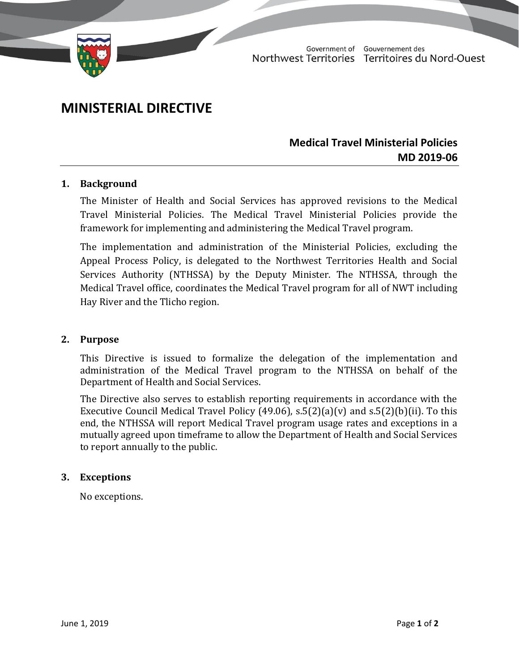

Government of Gouvernement des Northwest Territories Territoires du Nord-Ouest

# **MINISTERIAL DIRECTIVE**

# **Medical Travel Ministerial Policies MD 2019-06**

#### **1. Background**

The Minister of Health and Social Services has approved revisions to the Medical Travel Ministerial Policies. The Medical Travel Ministerial Policies provide the framework for implementing and administering the Medical Travel program.

The implementation and administration of the Ministerial Policies, excluding the Appeal Process Policy, is delegated to the Northwest Territories Health and Social Services Authority (NTHSSA) by the Deputy Minister. The NTHSSA, through the Medical Travel office, coordinates the Medical Travel program for all of NWT including Hay River and the Tlicho region.

#### **2. Purpose**

This Directive is issued to formalize the delegation of the implementation and administration of the Medical Travel program to the NTHSSA on behalf of the Department of Health and Social Services.

The Directive also serves to establish reporting requirements in accordance with the Executive Council Medical Travel Policy (49.06),  $s.5(2)(a)(v)$  and  $s.5(2)(b)(ii)$ . To this end, the NTHSSA will report Medical Travel program usage rates and exceptions in a mutually agreed upon timeframe to allow the Department of Health and Social Services to report annually to the public.

#### **3. Exceptions**

No exceptions.